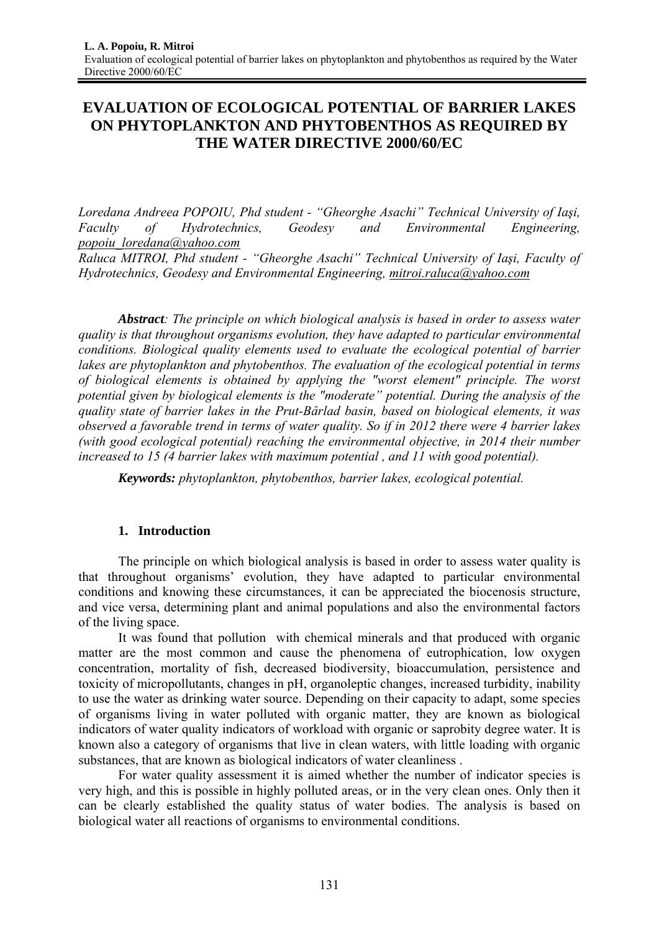# **EVALUATION OF ECOLOGICAL POTENTIAL OF BARRIER LAKES ON PHYTOPLANKTON AND PHYTOBENTHOS AS REQUIRED BY THE WATER DIRECTIVE 2000/60/EC**

*Loredana Andreea POPOIU, Phd student - "Gheorghe Asachi" Technical University of Iaşi, Faculty of Hydrotechnics, Geodesy and Environmental Engineering, popoiu\_loredana@yahoo.com*

*Raluca MITROI, Phd student - "Gheorghe Asachi" Technical University of Iaşi, Faculty of Hydrotechnics, Geodesy and Environmental Engineering, mitroi.raluca@yahoo.com*

*Abstract: The principle on which biological analysis is based in order to assess water quality is that throughout organisms evolution, they have adapted to particular environmental conditions. Biological quality elements used to evaluate the ecological potential of barrier lakes are phytoplankton and phytobenthos. The evaluation of the ecological potential in terms of biological elements is obtained by applying the "worst element" principle. The worst potential given by biological elements is the "moderate" potential. During the analysis of the quality state of barrier lakes in the Prut-Bârlad basin, based on biological elements, it was observed a favorable trend in terms of water quality. So if in 2012 there were 4 barrier lakes (with good ecological potential) reaching the environmental objective, in 2014 their number increased to 15 (4 barrier lakes with maximum potential , and 11 with good potential).* 

*Keywords: phytoplankton, phytobenthos, barrier lakes, ecological potential.*

#### **1. Introduction**

The principle on which biological analysis is based in order to assess water quality is that throughout organisms' evolution, they have adapted to particular environmental conditions and knowing these circumstances, it can be appreciated the biocenosis structure, and vice versa, determining plant and animal populations and also the environmental factors of the living space.

It was found that pollution with chemical minerals and that produced with organic matter are the most common and cause the phenomena of eutrophication, low oxygen concentration, mortality of fish, decreased biodiversity, bioaccumulation, persistence and toxicity of micropollutants, changes in pH, organoleptic changes, increased turbidity, inability to use the water as drinking water source. Depending on their capacity to adapt, some species of organisms living in water polluted with organic matter, they are known as biological indicators of water quality indicators of workload with organic or saprobity degree water. It is known also a category of organisms that live in clean waters, with little loading with organic substances, that are known as biological indicators of water cleanliness .

For water quality assessment it is aimed whether the number of indicator species is very high, and this is possible in highly polluted areas, or in the very clean ones. Only then it can be clearly established the quality status of water bodies. The analysis is based on biological water all reactions of organisms to environmental conditions.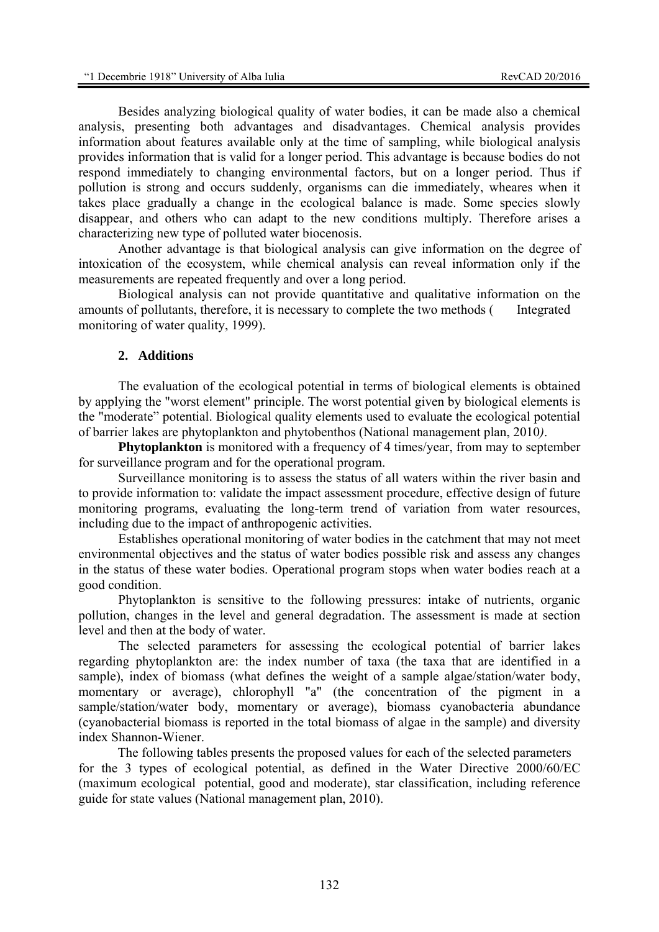Besides analyzing biological quality of water bodies, it can be made also a chemical analysis, presenting both advantages and disadvantages. Chemical analysis provides information about features available only at the time of sampling, while biological analysis provides information that is valid for a longer period. This advantage is because bodies do not respond immediately to changing environmental factors, but on a longer period. Thus if pollution is strong and occurs suddenly, organisms can die immediately, wheares when it takes place gradually a change in the ecological balance is made. Some species slowly disappear, and others who can adapt to the new conditions multiply. Therefore arises a characterizing new type of polluted water biocenosis.

Another advantage is that biological analysis can give information on the degree of intoxication of the ecosystem, while chemical analysis can reveal information only if the measurements are repeated frequently and over a long period.

Biological analysis can not provide quantitative and qualitative information on the amounts of pollutants, therefore, it is necessary to complete the two methods ( Integrated monitoring of water quality, 1999).

#### **2. Additions**

The evaluation of the ecological potential in terms of biological elements is obtained by applying the "worst element" principle. The worst potential given by biological elements is the "moderate" potential. Biological quality elements used to evaluate the ecological potential of barrier lakes are phytoplankton and phytobenthos (National management plan, 2010*)*.

**Phytoplankton** is monitored with a frequency of 4 times/year, from may to september for surveillance program and for the operational program.

Surveillance monitoring is to assess the status of all waters within the river basin and to provide information to: validate the impact assessment procedure, effective design of future monitoring programs, evaluating the long-term trend of variation from water resources, including due to the impact of anthropogenic activities.

Establishes operational monitoring of water bodies in the catchment that may not meet environmental objectives and the status of water bodies possible risk and assess any changes in the status of these water bodies. Operational program stops when water bodies reach at a good condition.

Phytoplankton is sensitive to the following pressures: intake of nutrients, organic pollution, changes in the level and general degradation. The assessment is made at section level and then at the body of water.

The selected parameters for assessing the ecological potential of barrier lakes regarding phytoplankton are: the index number of taxa (the taxa that are identified in a sample), index of biomass (what defines the weight of a sample algae/station/water body, momentary or average), chlorophyll "a" (the concentration of the pigment in a sample/station/water body, momentary or average), biomass cyanobacteria abundance (cyanobacterial biomass is reported in the total biomass of algae in the sample) and diversity index Shannon-Wiener.

The following tables presents the proposed values for each of the selected parameters for the 3 types of ecological potential, as defined in the Water Directive 2000/60/EC (maximum ecological potential, good and moderate), star classification, including reference guide for state values (National management plan, 2010).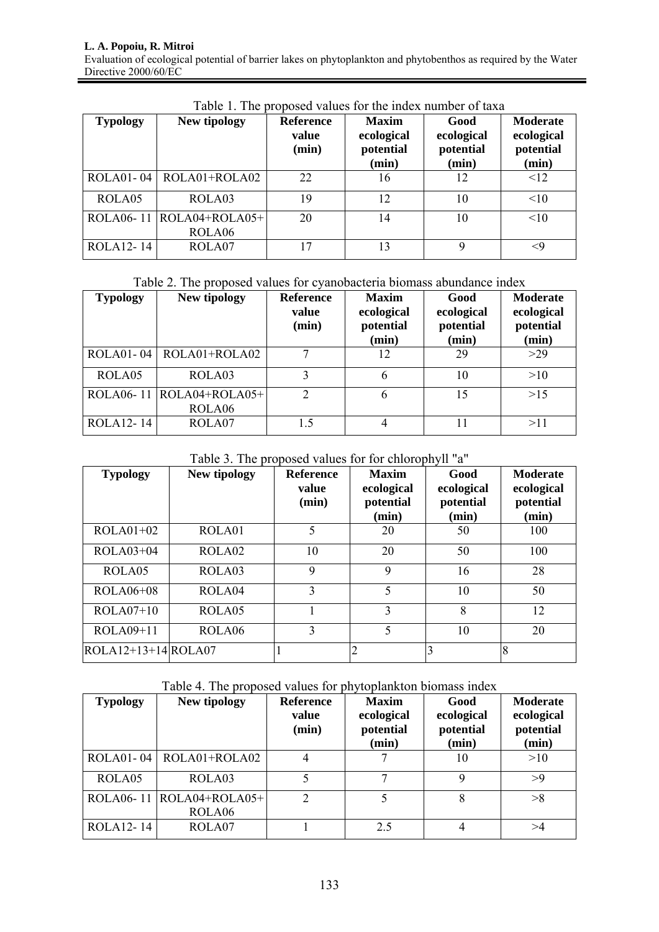#### **L. A. Popoiu, R. Mitroi**  Evaluation of ecological potential of barrier lakes on phytoplankton and phytobenthos as required by the Water Directive 2000/60/EC

| <b>Typology</b> | New tipology                           | <b>Reference</b><br>value<br>(min) | <b>Maxim</b><br>ecological<br>potential<br>(min) | Good<br>ecological<br>potential<br>(min) | Moderate<br>ecological<br>potential<br>(min) |
|-----------------|----------------------------------------|------------------------------------|--------------------------------------------------|------------------------------------------|----------------------------------------------|
|                 | $ROLA01 - 04$ $ROLA01 + ROLA02$        | 22                                 | 16                                               | 12                                       | $\leq$ 12                                    |
| ROLA05          | ROLA03                                 | 19                                 | 12                                               | 10                                       | <10                                          |
|                 | ROLA06-11   ROLA04+ROLA05+  <br>ROLA06 | 20                                 | 14                                               | 10                                       | <10                                          |
| ROLA12-14       | ROLA07                                 | 17                                 | 13                                               | Q                                        | <9                                           |

Table 1. The proposed values for the index number of taxa

### Table 2. The proposed values for cyanobacteria biomass abundance index

| <b>Typology</b>        | New tipology                                     | <b>Reference</b><br>value<br>(min) | <b>Maxim</b><br>ecological<br>potential<br>(min) | Good<br>ecological<br>potential<br>(min) | <b>Moderate</b><br>ecological<br>potential<br>(min) |
|------------------------|--------------------------------------------------|------------------------------------|--------------------------------------------------|------------------------------------------|-----------------------------------------------------|
|                        | $ROLA01 - 04$ $ROLA01 + ROLA02$                  |                                    | 12                                               | 29                                       | >29                                                 |
| ROLA05                 | ROLA03                                           | 3                                  | 6                                                | 10                                       | >10                                                 |
|                        | ROLA06-11 $ROLA04+ROLA05+$<br>ROLA <sub>06</sub> | $\mathcal{D}$                      | 6                                                | 15                                       | >15                                                 |
| ROLA <sub>12</sub> -14 | ROLA07                                           | 1.5                                | 4                                                | 11                                       | >11                                                 |

## Table 3. The proposed values for for chlorophyll "a"

| <b>Typology</b>         | New tipology       | <b>Reference</b><br>value<br>(min) | <b>Maxim</b><br>ecological<br>potential<br>(min) | Good<br>ecological<br>potential<br>(min) | <b>Moderate</b><br>ecological<br>potential<br>(min) |
|-------------------------|--------------------|------------------------------------|--------------------------------------------------|------------------------------------------|-----------------------------------------------------|
| $ROLA01+02$             | ROLA01             | 5                                  | 20                                               | 50                                       | 100                                                 |
| $ROLA03+04$             | ROLA <sub>02</sub> | 10                                 | 20                                               | 50                                       | 100                                                 |
| ROLA05                  | ROLA <sub>03</sub> | 9                                  | 9                                                | 16                                       | 28                                                  |
| $ROLA06+08$             | ROLA04             | 3                                  | 5                                                | 10                                       | 50                                                  |
| $ROLA07+10$             | ROLA05             |                                    | 3                                                | 8                                        | 12                                                  |
| $ROLA09+11$             | ROLA <sub>06</sub> | $\mathcal{E}$                      | 5                                                | 10                                       | 20                                                  |
| $ROLA12+13+14$ $ROLA07$ |                    |                                    | $\overline{2}$                                   | 3                                        | 8                                                   |

Table 4. The proposed values for phytoplankton biomass index

| <b>Typology</b>        | New tipology                                     | <b>Reference</b><br>value<br>(min) | <b>Maxim</b><br>ecological<br>potential<br>(min) | Good<br>ecological<br>potential<br>(min) | <b>Moderate</b><br>ecological<br>potential<br>(min) |
|------------------------|--------------------------------------------------|------------------------------------|--------------------------------------------------|------------------------------------------|-----------------------------------------------------|
| $ROLA01 - 04$          | ROLA01+ROLA02                                    | 4                                  |                                                  | 10                                       | >10                                                 |
| ROLA05                 | ROLA03                                           |                                    |                                                  |                                          | >9                                                  |
|                        | ROLA06-11 $ROLA04+ROLA05+$<br>ROLA <sub>06</sub> | $\mathcal{D}_{\mathcal{L}}$        |                                                  | 8                                        | >8                                                  |
| ROLA <sub>12</sub> -14 | ROLA07                                           |                                    | 2.5                                              |                                          | >4                                                  |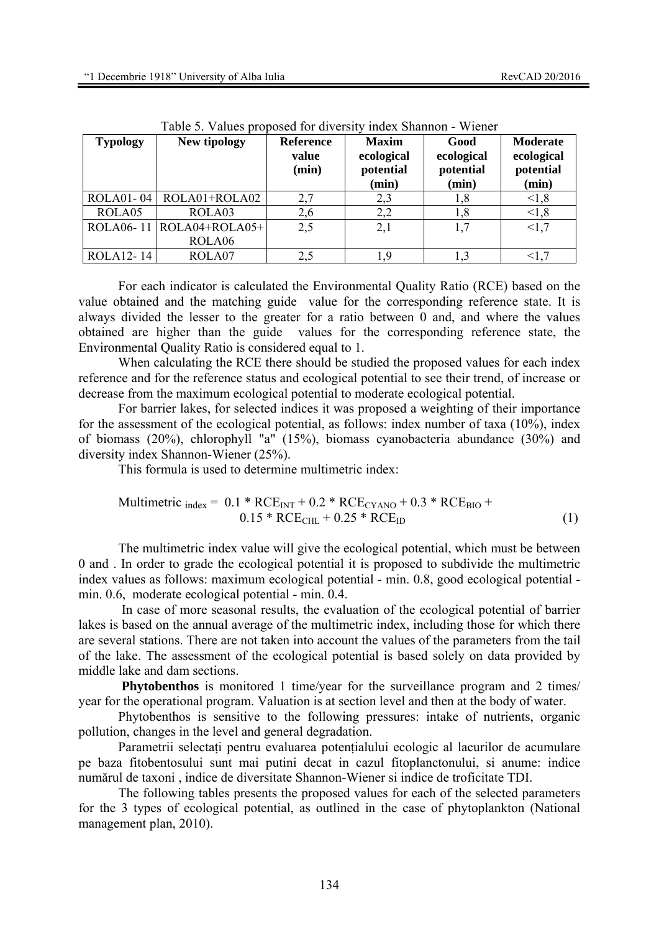| <b>Typology</b>  | New tipology               | <b>Reference</b><br>value<br>(min) | <b>Maxim</b><br>ecological<br>potential<br>(min) | Good<br>ecological<br>potential<br>(min) | Moderate<br>ecological<br>potential<br>(min) |
|------------------|----------------------------|------------------------------------|--------------------------------------------------|------------------------------------------|----------------------------------------------|
| <b>ROLA01-04</b> | ROLA01+ROLA02              | 2,7                                | 2,3                                              | 1,8                                      | < 1, 8                                       |
| ROLA05           | ROLA03                     | 2,6                                | 2,2                                              | 1,8                                      | < 1, 8                                       |
|                  | ROLA06-11 $ROLA04+ROLA05+$ | 2,5                                | 2,1                                              |                                          | <1,7                                         |
|                  | ROLA <sub>06</sub>         |                                    |                                                  |                                          |                                              |
| ROLA12-14        | ROLA07                     | 2,5                                | 1,9                                              |                                          |                                              |

Table 5. Values proposed for diversity index Shannon - Wiener

For each indicator is calculated the Environmental Quality Ratio (RCE) based on the value obtained and the matching guide value for the corresponding reference state. It is always divided the lesser to the greater for a ratio between 0 and, and where the values obtained are higher than the guide values for the corresponding reference state, the Environmental Quality Ratio is considered equal to 1.

When calculating the RCE there should be studied the proposed values for each index reference and for the reference status and ecological potential to see their trend, of increase or decrease from the maximum ecological potential to moderate ecological potential.

For barrier lakes, for selected indices it was proposed a weighting of their importance for the assessment of the ecological potential, as follows: index number of taxa (10%), index of biomass (20%), chlorophyll "a" (15%), biomass cyanobacteria abundance (30%) and diversity index Shannon-Wiener (25%).

This formula is used to determine multimetric index:

$$
\text{Multimetric}_{index} = 0.1 * RCE_{INT} + 0.2 * RCE_{CYANO} + 0.3 * RCE_{BIO} + 0.15 * RCE_{CHL} + 0.25 * RCE_{ID} \tag{1}
$$

The multimetric index value will give the ecological potential, which must be between 0 and . In order to grade the ecological potential it is proposed to subdivide the multimetric index values as follows: maximum ecological potential - min. 0.8, good ecological potential min. 0.6, moderate ecological potential - min. 0.4.

 In case of more seasonal results, the evaluation of the ecological potential of barrier lakes is based on the annual average of the multimetric index, including those for which there are several stations. There are not taken into account the values of the parameters from the tail of the lake. The assessment of the ecological potential is based solely on data provided by middle lake and dam sections.

**Phytobenthos** is monitored 1 time/year for the surveillance program and 2 times/ year for the operational program. Valuation is at section level and then at the body of water.

Phytobenthos is sensitive to the following pressures: intake of nutrients, organic pollution, changes in the level and general degradation.

Parametrii selectați pentru evaluarea potențialului ecologic al lacurilor de acumulare pe baza fitobentosului sunt mai putini decat in cazul fitoplanctonului, si anume: indice numărul de taxoni , indice de diversitate Shannon-Wiener si indice de troficitate TDI.

The following tables presents the proposed values for each of the selected parameters for the 3 types of ecological potential, as outlined in the case of phytoplankton (National management plan, 2010).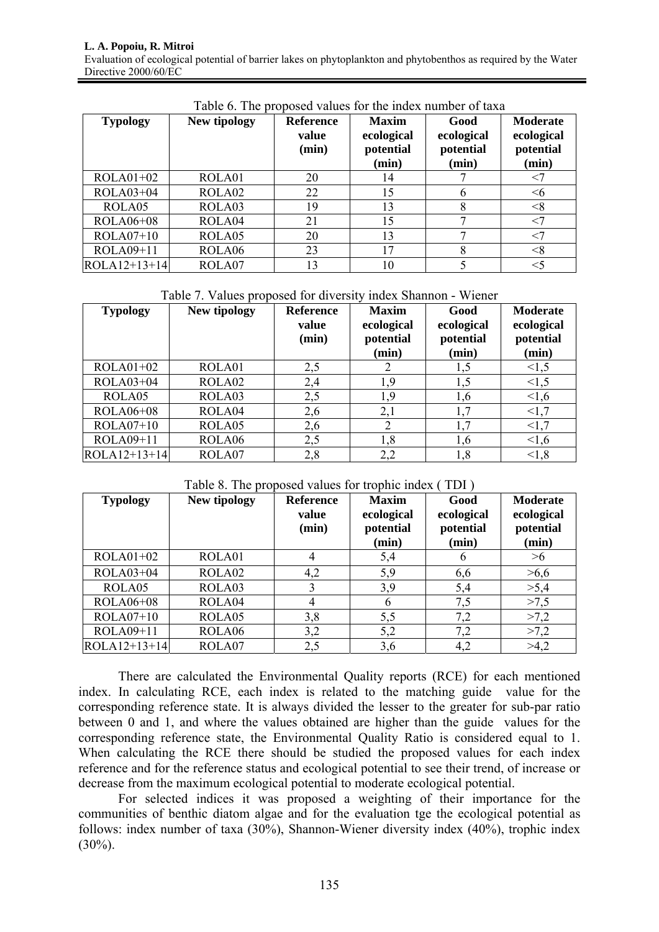| <b>Typology</b> | New tipology | <b>Reference</b><br>value<br>(min) | <b>Maxim</b><br>ecological<br>potential<br>(min) | Good<br>ecological<br>potential<br>(min) | <b>Moderate</b><br>ecological<br>potential<br>(min) |
|-----------------|--------------|------------------------------------|--------------------------------------------------|------------------------------------------|-----------------------------------------------------|
| $ROLA01+02$     | ROLA01       | 20                                 | 14                                               |                                          |                                                     |
| ROLA03+04       | ROLA02       | 22                                 | 15                                               | 6                                        | <6                                                  |
| ROLA05          | ROLA03       | 19                                 | 13                                               | 8                                        | $<\!\!8$                                            |
| ROLA06+08       | ROLA04       | 21                                 | 15                                               |                                          |                                                     |
| $ROLA07+10$     | ROLA05       | 20                                 | 13                                               | ⇁                                        |                                                     |
| ROLA09+11       | ROLA06       | 23                                 | 17                                               | 8                                        | $<\!\!8$                                            |
| $ROLA12+13+14$  | ROLA07       | 13                                 | 10                                               |                                          |                                                     |

Table 6. The proposed values for the index number of taxa

|  | Table 7. Values proposed for diversity index Shannon - Wiener |
|--|---------------------------------------------------------------|
|--|---------------------------------------------------------------|

| <b>Typology</b> | New tipology | <b>Reference</b><br>value<br>(min) | <b>Maxim</b><br>ecological<br>potential<br>(min) | Good<br>ecological<br>potential<br>(min) | <b>Moderate</b><br>ecological<br>potential<br>(min) |
|-----------------|--------------|------------------------------------|--------------------------------------------------|------------------------------------------|-----------------------------------------------------|
| $ROLA01+02$     | ROLA01       | 2,5                                | 2                                                | 1,5                                      | 1,5                                                 |
| ROLA03+04       | ROLA02       | 2,4                                | 1,9                                              | 1,5                                      | 1,5                                                 |
| ROLA05          | ROLA03       | 2,5                                | 1,9                                              | 1,6                                      | 1,6                                                 |
| ROLA06+08       | ROLA04       | 2,6                                | 2,1                                              | 1,7                                      | <1,7                                                |
| $ROLA07+10$     | ROLA05       | 2,6                                | 2                                                | 1,7                                      | <1,7                                                |
| ROLA09+11       | ROLA06       | 2,5                                | 1,8                                              | 1,6                                      | 1,6                                                 |
| $ROLA12+13+14$  | ROLA07       | 2,8                                | 2,2                                              | 1,8                                      | < 1, 8                                              |

#### Table 8. The proposed values for trophic index (TDI).

| <b>Typology</b> | New tipology       | <b>Reference</b><br>value<br>(min) | <b>Maxim</b><br>ecological<br>potential<br>(min) | Good<br>ecological<br>potential<br>(min) | <b>Moderate</b><br>ecological<br>potential<br>(min) |
|-----------------|--------------------|------------------------------------|--------------------------------------------------|------------------------------------------|-----------------------------------------------------|
| $ROLA01+02$     | ROLA01             | 4                                  | 5,4                                              | $\mathfrak b$                            | >1                                                  |
| ROLA03+04       | ROLA02             | 4,2                                | 5,9                                              | 6,6                                      | >6,6                                                |
| ROLA05          | ROLA03             | 3                                  | 3,9                                              | 5,4                                      | >5,4                                                |
| ROLA06+08       | ROLA04             | 4                                  | 6                                                | 7,5                                      | >7,5                                                |
| $ROLA07+10$     | ROLA05             | 3,8                                | 5,5                                              | 7,2                                      | >7,2                                                |
| ROLA09+11       | ROLA <sub>06</sub> | 3,2                                | 5,2                                              | 7,2                                      | >7,2                                                |
| $ROLA12+13+14$  | ROLA07             | 2,5                                | 3,6                                              | 4,2                                      | >4,2                                                |

There are calculated the Environmental Quality reports (RCE) for each mentioned index. In calculating RCE, each index is related to the matching guide value for the corresponding reference state. It is always divided the lesser to the greater for sub-par ratio between 0 and 1, and where the values obtained are higher than the guide values for the corresponding reference state, the Environmental Quality Ratio is considered equal to 1. When calculating the RCE there should be studied the proposed values for each index reference and for the reference status and ecological potential to see their trend, of increase or decrease from the maximum ecological potential to moderate ecological potential.

For selected indices it was proposed a weighting of their importance for the communities of benthic diatom algae and for the evaluation tge the ecological potential as follows: index number of taxa (30%), Shannon-Wiener diversity index (40%), trophic index  $(30\%)$ .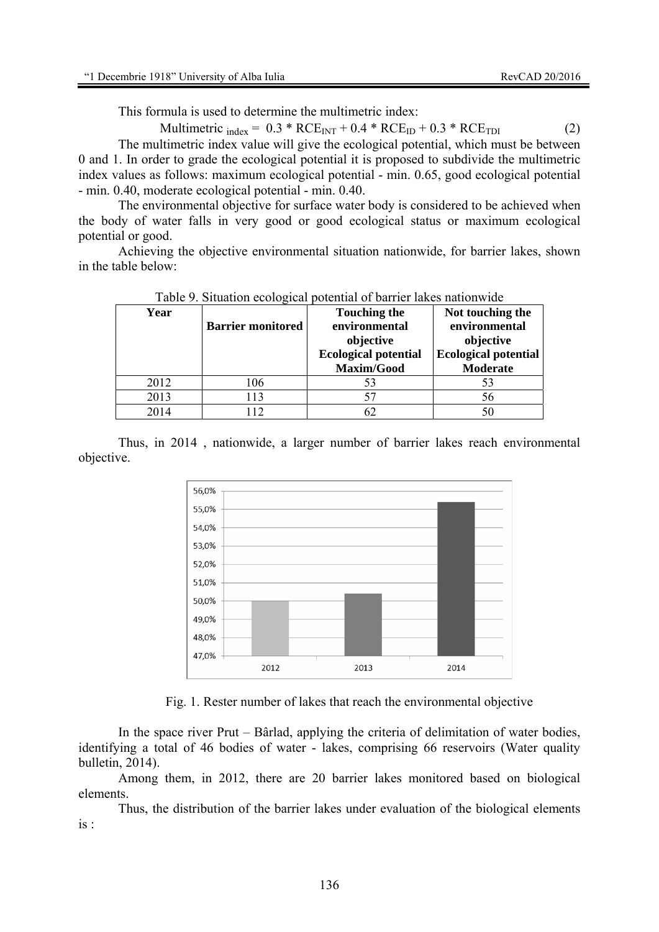This formula is used to determine the multimetric index:

Multimetric  $_{index} = 0.3 * RCE_{INT} + 0.4 * RCE_{ID} + 0.3 * RCE_{TDI}$  (2)

 The multimetric index value will give the ecological potential, which must be between 0 and 1. In order to grade the ecological potential it is proposed to subdivide the multimetric index values as follows: maximum ecological potential - min. 0.65, good ecological potential - min. 0.40, moderate ecological potential - min. 0.40.

The environmental objective for surface water body is considered to be achieved when the body of water falls in very good or good ecological status or maximum ecological potential or good.

Achieving the objective environmental situation nationwide, for barrier lakes, shown in the table below:

| Year | <b>Barrier monitored</b> | <b>Touching the</b><br>environmental<br>objective<br><b>Ecological potential</b><br>Maxim/Good | Not touching the<br>environmental<br>objective<br><b>Ecological potential</b><br>Moderate |
|------|--------------------------|------------------------------------------------------------------------------------------------|-------------------------------------------------------------------------------------------|
| 2012 | 106                      | 53                                                                                             | 53                                                                                        |
| 2013 | 113                      | 57                                                                                             | 56                                                                                        |
| 2014 | 112                      | 62                                                                                             | 50                                                                                        |

Table 9. Situation ecological potential of barrier lakes nationwide

Thus, in 2014 , nationwide, a larger number of barrier lakes reach environmental objective.



Fig. 1. Rester number of lakes that reach the environmental objective

In the space river Prut – Bârlad, applying the criteria of delimitation of water bodies, identifying a total of 46 bodies of water - lakes, comprising 66 reservoirs (Water quality bulletin, 2014).

Among them, in 2012, there are 20 barrier lakes monitored based on biological elements.

Thus, the distribution of the barrier lakes under evaluation of the biological elements is :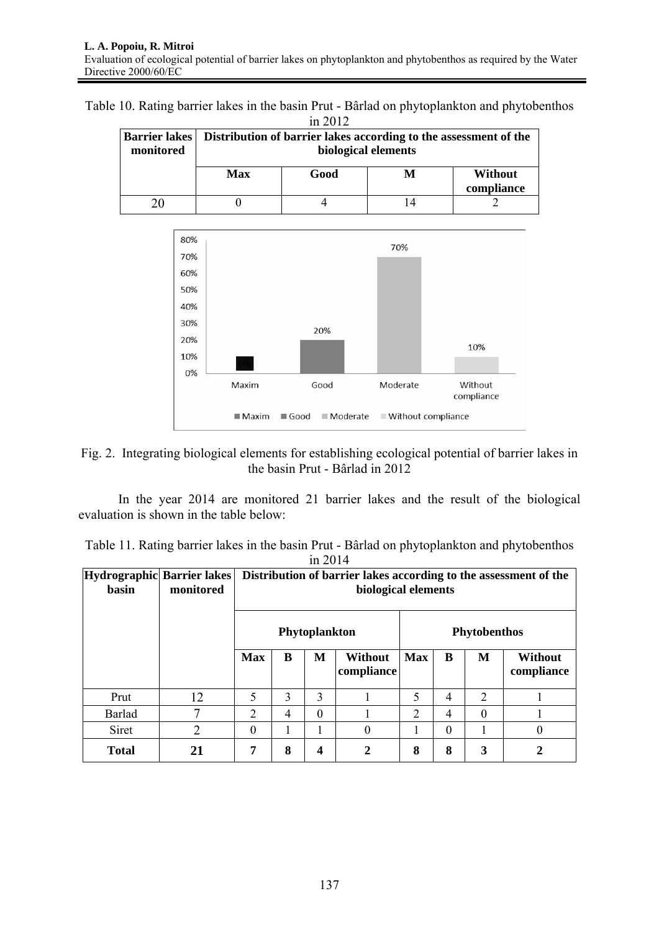Table 10. Rating barrier lakes in the basin Prut - Bârlad on phytoplankton and phytobenthos in 2012

| . <u>.</u> |                     |                                                                                  |  |                |  |  |  |  |  |
|------------|---------------------|----------------------------------------------------------------------------------|--|----------------|--|--|--|--|--|
|            |                     | Barrier lakes   Distribution of barrier lakes according to the assessment of the |  |                |  |  |  |  |  |
| monitored  | biological elements |                                                                                  |  |                |  |  |  |  |  |
|            |                     |                                                                                  |  |                |  |  |  |  |  |
|            | <b>Max</b>          | Good                                                                             |  | <b>Without</b> |  |  |  |  |  |
|            |                     |                                                                                  |  | compliance     |  |  |  |  |  |
| 20         |                     |                                                                                  |  |                |  |  |  |  |  |





In the year 2014 are monitored 21 barrier lakes and the result of the biological evaluation is shown in the table below:

|  |  |           |  | Table 11. Rating barrier lakes in the basin Prut - Bârlad on phytoplankton and phytobenthos |  |  |
|--|--|-----------|--|---------------------------------------------------------------------------------------------|--|--|
|  |  | in $2014$ |  |                                                                                             |  |  |

| Hydrographic Barrier lakes<br>basin | monitored      | Distribution of barrier lakes according to the assessment of the<br>biological elements |   |   |                              |                     |          |          |                       |
|-------------------------------------|----------------|-----------------------------------------------------------------------------------------|---|---|------------------------------|---------------------|----------|----------|-----------------------|
|                                     |                | Phytoplankton                                                                           |   |   |                              | <b>Phytobenthos</b> |          |          |                       |
|                                     |                | <b>Max</b>                                                                              | B | M | <b>Without</b><br>compliance | <b>Max</b>          | B        | M        | Without<br>compliance |
| Prut                                | 12             | 5                                                                                       | 3 | 3 |                              | 5                   | 4        | 2        |                       |
| <b>Barlad</b>                       |                | 2                                                                                       | 4 | 0 |                              | 2                   | 4        | $\theta$ |                       |
| Siret                               | $\overline{2}$ | $\theta$                                                                                |   |   | $\theta$                     |                     | $\theta$ |          | 0                     |
| <b>Total</b>                        | 21             | 7                                                                                       | 8 | 4 | 2                            | 8                   | 8        | 3        | 2                     |